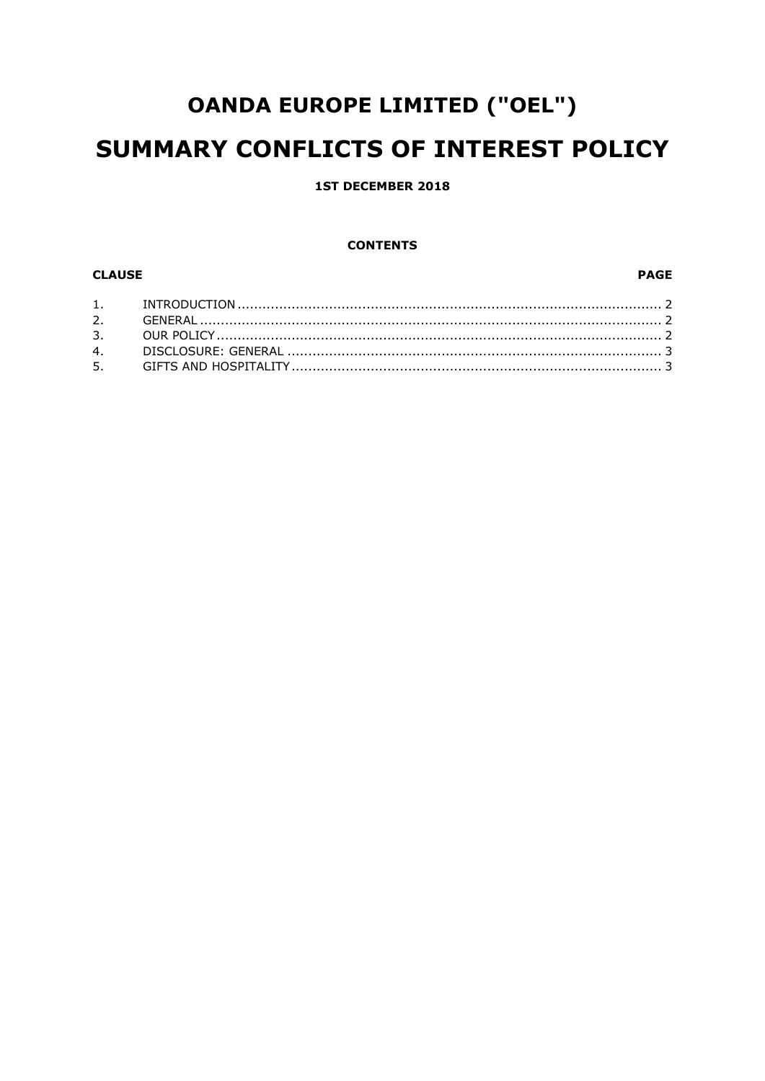# **OANDA EUROPE LIMITED ("OEL")** SUMMARY CONFLICTS OF INTEREST POLICY

## **1ST DECEMBER 2018**

#### **CONTENTS**

# **CLAUSE**

#### **PAGE**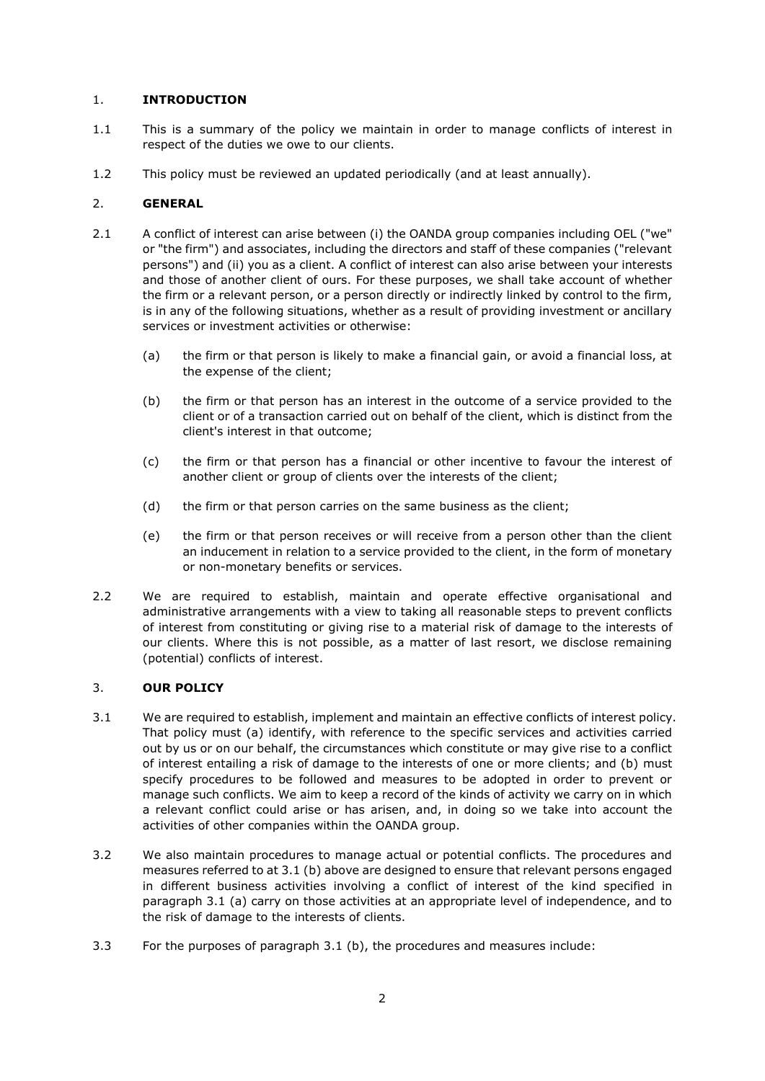## 1. **INTRODUCTION**

- 1.1 This is a summary of the policy we maintain in order to manage conflicts of interest in respect of the duties we owe to our clients.
- 1.2 This policy must be reviewed an updated periodically (and at least annually).

## 2. **GENERAL**

- 2.1 A conflict of interest can arise between (i) the OANDA group companies including OEL ("we" or "the firm") and associates, including the directors and staff of these companies ("relevant persons") and (ii) you as a client. A conflict of interest can also arise between your interests and those of another client of ours. For these purposes, we shall take account of whether the firm or a relevant person, or a person directly or indirectly linked by control to the firm, is in any of the following situations, whether as a result of providing investment or ancillary services or investment activities or otherwise:
	- (a) the firm or that person is likely to make a financial gain, or avoid a financial loss, at the expense of the client;
	- (b) the firm or that person has an interest in the outcome of a service provided to the client or of a transaction carried out on behalf of the client, which is distinct from the client's interest in that outcome;
	- (c) the firm or that person has a financial or other incentive to favour the interest of another client or group of clients over the interests of the client;
	- (d) the firm or that person carries on the same business as the client;
	- (e) the firm or that person receives or will receive from a person other than the client an inducement in relation to a service provided to the client, in the form of monetary or non-monetary benefits or services.
- 2.2 We are required to establish, maintain and operate effective organisational and administrative arrangements with a view to taking all reasonable steps to prevent conflicts of interest from constituting or giving rise to a material risk of damage to the interests of our clients. Where this is not possible, as a matter of last resort, we disclose remaining (potential) conflicts of interest.

## 3. **OUR POLICY**

- 3.1 We are required to establish, implement and maintain an effective conflicts of interest policy. That policy must (a) identify, with reference to the specific services and activities carried out by us or on our behalf, the circumstances which constitute or may give rise to a conflict of interest entailing a risk of damage to the interests of one or more clients; and (b) must specify procedures to be followed and measures to be adopted in order to prevent or manage such conflicts. We aim to keep a record of the kinds of activity we carry on in which a relevant conflict could arise or has arisen, and, in doing so we take into account the activities of other companies within the OANDA group.
- 3.2 We also maintain procedures to manage actual or potential conflicts. The procedures and measures referred to at 3.1 (b) above are designed to ensure that relevant persons engaged in different business activities involving a conflict of interest of the kind specified in paragraph 3.1 (a) carry on those activities at an appropriate level of independence, and to the risk of damage to the interests of clients.
- 3.3 For the purposes of paragraph 3.1 (b), the procedures and measures include: